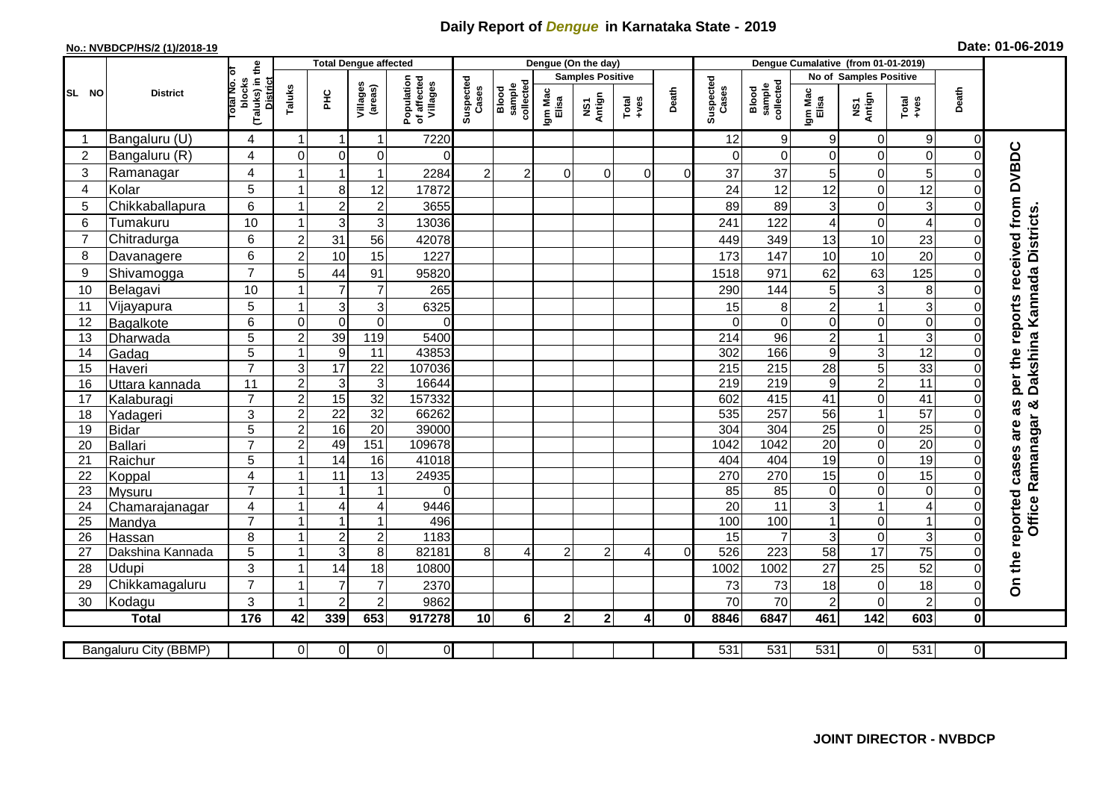## **Daily Report of** *Dengue* **in Karnataka State - 2019**

## **No.: NVBDCP/HS/2 (1)/2018-19 Date: 01-06-2019**

|                | <b>District</b>           |                                                   | <b>Total Dengue affected</b> |                                  |                         |                                       |                    |                              |                         | Dengue (On the day) |                |          |                    |                              |                        |                            |                                                              |                               |                                     |
|----------------|---------------------------|---------------------------------------------------|------------------------------|----------------------------------|-------------------------|---------------------------------------|--------------------|------------------------------|-------------------------|---------------------|----------------|----------|--------------------|------------------------------|------------------------|----------------------------|--------------------------------------------------------------|-------------------------------|-------------------------------------|
| SL NO          |                           | ō                                                 |                              |                                  |                         |                                       |                    |                              | <b>Samples Positive</b> |                     |                |          |                    |                              | No of Samples Positive |                            |                                                              |                               |                                     |
|                |                           | (Taluks) in the<br>District<br>otal No.<br>blocks | Taluks                       | Ξ                                | Villages<br>(areas)     | Population<br>of affected<br>Villages | Suspected<br>Cases | Blood<br>sample<br>collected | Igm Mac<br>Elisa        | NS1<br>Antign       | Total<br>+ves  | Death    | Suspected<br>Cases | sample<br>collected<br>Blood | Igm Mac<br>Elisa       | NS1<br>Antign              | $\begin{array}{c}\n\text{Total} \\ \text{Area}\n\end{array}$ | Death                         |                                     |
|                | Bangaluru (U)             | 4                                                 | $\mathbf{1}$                 | $\mathbf{1}$                     | $\mathbf 1$             | 7220                                  |                    |                              |                         |                     |                |          | 12                 | 9                            | 9                      | $\mathbf 0$                | 9                                                            | $\Omega$                      |                                     |
| $\overline{c}$ | Bangaluru (R)             | 4                                                 | $\mathbf 0$                  | $\Omega$                         | 0                       | $\Omega$                              |                    |                              |                         |                     |                |          | $\Omega$           | $\Omega$                     | $\Omega$               | $\mathbf 0$                | 0                                                            | 0                             |                                     |
| 3              | Ramanagar                 | 4                                                 |                              | 1                                | $\overline{1}$          | 2284                                  | $\overline{2}$     | $\overline{2}$               | $\Omega$                | $\Omega$            | $\Omega$       | $\Omega$ | 37                 | 37                           | 5                      | $\mathbf 0$                | 5                                                            |                               | per the reports received from DVBDC |
| 4              | Kolar                     | 5                                                 | 1                            | 8                                | 12                      | 17872                                 |                    |                              |                         |                     |                |          | 24                 | 12                           | 12                     | $\mathbf 0$                | 12                                                           | $\mathbf 0$                   |                                     |
| 5              | Chikkaballapura           | 6                                                 | -1                           | $\overline{c}$                   | $\overline{\mathbf{c}}$ | 3655                                  |                    |                              |                         |                     |                |          | 89                 | 89                           | 3                      | $\pmb{0}$                  | 3                                                            | $\Omega$                      |                                     |
| 6              | Tumakuru                  | 10                                                | 1                            | 3                                | 3                       | 13036                                 |                    |                              |                         |                     |                |          | 241                | 122                          | 4                      | $\mathbf 0$                | 4                                                            | $\Omega$                      |                                     |
| $\overline{7}$ | Chitradurga               | 6                                                 | $\overline{c}$               | 31                               | 56                      | 42078                                 |                    |                              |                         |                     |                |          | 449                | 349                          | 13                     | 10                         | 23                                                           | 0                             |                                     |
| 8              | Davanagere                | $6\phantom{1}$                                    | $\overline{c}$               | 10                               | 15                      | 1227                                  |                    |                              |                         |                     |                |          | 173                | 147                          | 10                     | 10                         | 20                                                           | $\mathbf 0$                   |                                     |
| 9              | Shivamogga                | $\overline{7}$                                    | 5                            | 44                               | 91                      | 95820                                 |                    |                              |                         |                     |                |          | 1518               | 971                          | 62                     | 63                         | 125                                                          | $\Omega$                      | Dakshina Kannada Districts          |
| 10             | Belagavi                  | 10                                                |                              | $\overline{7}$                   | $\overline{7}$          | 265                                   |                    |                              |                         |                     |                |          | 290                | 144                          | 5                      | $\mathbf{3}$               | 8                                                            | $\Omega$                      |                                     |
| 11             | Vijayapura                | 5                                                 | 1                            | $\mathbf{3}$                     | 3                       | 6325                                  |                    |                              |                         |                     |                |          | 15                 | 8                            | $\overline{c}$         | $\mathbf{1}$               | 3                                                            | $\Omega$                      |                                     |
| 12             | Bagalkote                 | 6                                                 | $\mathbf 0$                  | $\overline{0}$                   | $\mathbf 0$             | $\Omega$                              |                    |                              |                         |                     |                |          | $\Omega$           | $\Omega$                     | $\Omega$               | $\mathbf 0$                | $\overline{0}$                                               | $\Omega$                      |                                     |
| 13             | Dharwada                  | 5                                                 | $\overline{2}$               | 39                               | 119                     | 5400                                  |                    |                              |                         |                     |                |          | 214                | 96                           | $\overline{c}$         | $\mathbf{1}$               | $\overline{3}$                                               | 0                             |                                     |
| 14             | Gadag                     | $\overline{5}$                                    | 1                            | $\overline{9}$                   | 11                      | 43853                                 |                    |                              |                         |                     |                |          | 302                | 166                          | 9                      | $\overline{3}$             | 12                                                           | 0                             |                                     |
| 15             | Haveri                    | $\overline{7}$                                    | 3                            | $\overline{17}$                  | $\overline{22}$         | 107036                                |                    |                              |                         |                     |                |          | 215                | $\overline{215}$             | 28                     | $\overline{5}$             | 33                                                           | $\overline{0}$                |                                     |
| 16             | Uttara kannada            | 11                                                | $\overline{2}$               | $\overline{3}$                   | $\overline{3}$          | 16644                                 |                    |                              |                         |                     |                |          | $\overline{219}$   | 219                          | 9                      | $\overline{2}$             | $\overline{11}$                                              | $\mathbf 0$                   |                                     |
| 17             | Kalaburagi                | $\overline{7}$                                    | $\overline{a}$               | 15                               | 32                      | 157332                                |                    |                              |                         |                     |                |          | 602                | 415                          | 41                     | $\mathbf 0$                | 41                                                           | 0                             | න්                                  |
| 18             | Yadageri                  | 3                                                 | $\overline{2}$               | $\overline{22}$                  | $\overline{32}$         | 66262                                 |                    |                              |                         |                     |                |          | 535                | 257                          | $\overline{56}$        | $\mathbf{1}$               | $\overline{57}$                                              | $\overline{0}$                |                                     |
| 19             | <b>Bidar</b>              | $\overline{5}$                                    | $\overline{2}$               | 16                               | $\overline{20}$         | 39000                                 |                    |                              |                         |                     |                |          | 304                | 304                          | 25                     | $\pmb{0}$                  | $\overline{25}$                                              | $\mathbf 0$                   |                                     |
| 20             | Ballari                   | $\overline{7}$                                    | $\mathbf 2$                  | 49                               | 151                     | 109678                                |                    |                              |                         |                     |                |          | 1042               | 1042                         | $\overline{20}$        | $\pmb{0}$                  | $\overline{20}$                                              | 0                             |                                     |
| 21             | Raichur                   | 5                                                 | $\mathbf{1}$                 | $\overline{14}$                  | 16                      | 41018                                 |                    |                              |                         |                     |                |          | 404                | 404                          | $\overline{19}$        | $\mathbf 0$                | 19                                                           | $\overline{0}$                |                                     |
| 22             | Koppal                    | $\overline{4}$                                    | 1                            | 11                               | 13                      | 24935                                 |                    |                              |                         |                     |                |          | 270                | 270                          | 15                     | $\mathbf 0$                | 15                                                           | 0                             |                                     |
| 23             | Mysuru                    | $\overline{7}$                                    | $\overline{1}$               | 1                                | $\mathbf 1$             | $\Omega$                              |                    |                              |                         |                     |                |          | 85                 | 85                           | $\Omega$               | $\boldsymbol{0}$           | 0                                                            | $\Omega$                      | Office Ramanagar                    |
| 24             | Chamarajanagar            | 4<br>$\overline{7}$                               |                              | 4                                | 4                       | 9446                                  |                    |                              |                         |                     |                |          | $\overline{20}$    | 11                           | 3                      | $\mathbf{1}$               | $\overline{\mathbf{4}}$                                      | $\Omega$                      |                                     |
| 25             | Mandya                    |                                                   | 1<br>$\mathbf{1}$            | $\mathbf{1}$                     | $\mathbf 1$             | 496                                   |                    |                              |                         |                     |                |          | 100                | 100<br>7                     |                        | $\mathsf{O}\xspace$        | 1                                                            | $\mathsf{O}\xspace$           |                                     |
| 26             | Hassan                    | 8<br>5                                            | $\mathbf{1}$                 | $\overline{c}$<br>$\overline{3}$ | $\mathbf 2$<br>8        | 1183<br>82181                         | 8 <sup>1</sup>     | 4                            | $\overline{2}$          | $\overline{2}$      | $\overline{A}$ | $\Omega$ | 15<br>526          | 223                          | 3<br>58                | $\pmb{0}$<br>17            | 3<br>75                                                      | $\mathbf 0$<br>$\Omega$       |                                     |
| 27             | Dakshina Kannada<br>Udupi | 3                                                 |                              |                                  |                         |                                       |                    |                              |                         |                     |                |          |                    |                              |                        |                            |                                                              |                               |                                     |
| 28             |                           | $\overline{7}$                                    | 1                            | 14<br>$\overline{7}$             | 18<br>7                 | 10800                                 |                    |                              |                         |                     |                |          | 1002               | 1002                         | 27                     | 25                         | 52<br>18                                                     | $\mathbf 0$                   | On the reported cases are as        |
| 29             | Chikkamagaluru            | 3                                                 | -1<br>1                      | $\overline{2}$                   | $\overline{c}$          | 2370<br>9862                          |                    |                              |                         |                     |                |          | 73<br>70           | 73<br>70                     | 18<br>$\overline{2}$   | $\mathbf 0$<br>$\mathbf 0$ | $\overline{2}$                                               | $\overline{0}$<br>$\mathbf 0$ |                                     |
| 30             | Kodagu<br><b>Total</b>    | 176                                               | 42                           | 339                              | 653                     | 917278                                | 10                 | 6                            | 2 <sup>1</sup>          | $\mathbf{2}$        | 4              | 0        | 8846               | 6847                         | 461                    | 142                        | 603                                                          | $\mathbf 0$                   |                                     |
|                |                           |                                                   |                              |                                  |                         |                                       |                    |                              |                         |                     |                |          |                    |                              |                        |                            |                                                              |                               |                                     |
|                | Bangaluru City (BBMP)     |                                                   | $\overline{0}$               | $\overline{0}$                   | $\overline{0}$          | $\overline{0}$                        |                    |                              |                         |                     |                |          | 531                | 531                          | 531                    | $\overline{0}$             | 531                                                          | $\overline{0}$                |                                     |